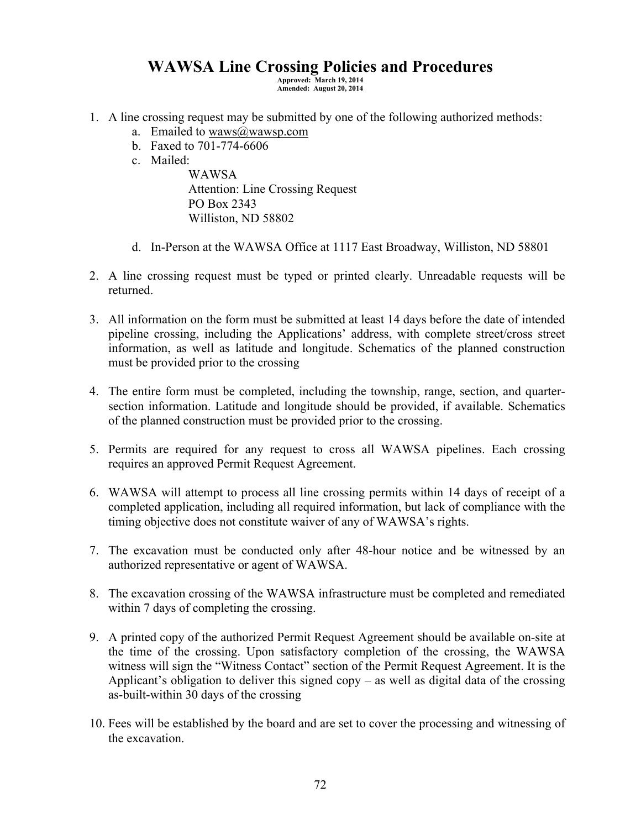## **WAWSA Line Crossing Policies and Procedures**

**Approved: March 19, 2014 Amended: August 20, 2014** 

- 1. A line crossing request may be submitted by one of the following authorized methods:
	- a. Emailed to waws $@$ wawsp.com
	- b. Faxed to 701-774-6606
	- c. Mailed:

WAWSA Attention: Line Crossing Request PO Box 2343 Williston, ND 58802

- d. In-Person at the WAWSA Office at 1117 East Broadway, Williston, ND 58801
- 2. A line crossing request must be typed or printed clearly. Unreadable requests will be returned.
- 3. All information on the form must be submitted at least 14 days before the date of intended pipeline crossing, including the Applications' address, with complete street/cross street information, as well as latitude and longitude. Schematics of the planned construction must be provided prior to the crossing
- 4. The entire form must be completed, including the township, range, section, and quartersection information. Latitude and longitude should be provided, if available. Schematics of the planned construction must be provided prior to the crossing.
- 5. Permits are required for any request to cross all WAWSA pipelines. Each crossing requires an approved Permit Request Agreement.
- 6. WAWSA will attempt to process all line crossing permits within 14 days of receipt of a completed application, including all required information, but lack of compliance with the timing objective does not constitute waiver of any of WAWSA's rights.
- 7. The excavation must be conducted only after 48-hour notice and be witnessed by an authorized representative or agent of WAWSA.
- 8. The excavation crossing of the WAWSA infrastructure must be completed and remediated within 7 days of completing the crossing.
- 9. A printed copy of the authorized Permit Request Agreement should be available on-site at the time of the crossing. Upon satisfactory completion of the crossing, the WAWSA witness will sign the "Witness Contact" section of the Permit Request Agreement. It is the Applicant's obligation to deliver this signed copy – as well as digital data of the crossing as-built-within 30 days of the crossing
- 10. Fees will be established by the board and are set to cover the processing and witnessing of the excavation.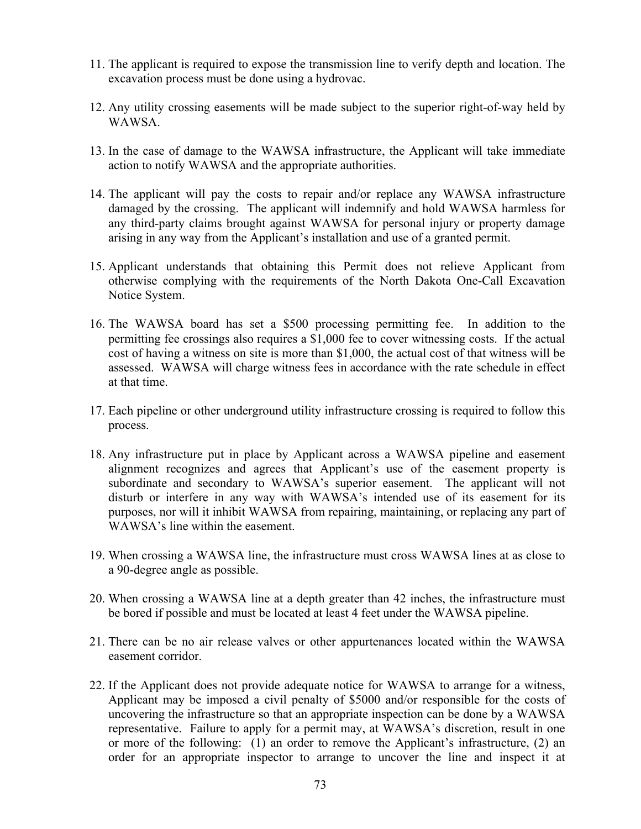- 11. The applicant is required to expose the transmission line to verify depth and location. The excavation process must be done using a hydrovac.
- 12. Any utility crossing easements will be made subject to the superior right-of-way held by WAWSA.
- 13. In the case of damage to the WAWSA infrastructure, the Applicant will take immediate action to notify WAWSA and the appropriate authorities.
- 14. The applicant will pay the costs to repair and/or replace any WAWSA infrastructure damaged by the crossing. The applicant will indemnify and hold WAWSA harmless for any third-party claims brought against WAWSA for personal injury or property damage arising in any way from the Applicant's installation and use of a granted permit.
- 15. Applicant understands that obtaining this Permit does not relieve Applicant from otherwise complying with the requirements of the North Dakota One-Call Excavation Notice System.
- 16. The WAWSA board has set a \$500 processing permitting fee. In addition to the permitting fee crossings also requires a \$1,000 fee to cover witnessing costs. If the actual cost of having a witness on site is more than \$1,000, the actual cost of that witness will be assessed. WAWSA will charge witness fees in accordance with the rate schedule in effect at that time.
- 17. Each pipeline or other underground utility infrastructure crossing is required to follow this process.
- 18. Any infrastructure put in place by Applicant across a WAWSA pipeline and easement alignment recognizes and agrees that Applicant's use of the easement property is subordinate and secondary to WAWSA's superior easement. The applicant will not disturb or interfere in any way with WAWSA's intended use of its easement for its purposes, nor will it inhibit WAWSA from repairing, maintaining, or replacing any part of WAWSA's line within the easement.
- 19. When crossing a WAWSA line, the infrastructure must cross WAWSA lines at as close to a 90-degree angle as possible.
- 20. When crossing a WAWSA line at a depth greater than 42 inches, the infrastructure must be bored if possible and must be located at least 4 feet under the WAWSA pipeline.
- 21. There can be no air release valves or other appurtenances located within the WAWSA easement corridor.
- 22. If the Applicant does not provide adequate notice for WAWSA to arrange for a witness, Applicant may be imposed a civil penalty of \$5000 and/or responsible for the costs of uncovering the infrastructure so that an appropriate inspection can be done by a WAWSA representative. Failure to apply for a permit may, at WAWSA's discretion, result in one or more of the following: (1) an order to remove the Applicant's infrastructure, (2) an order for an appropriate inspector to arrange to uncover the line and inspect it at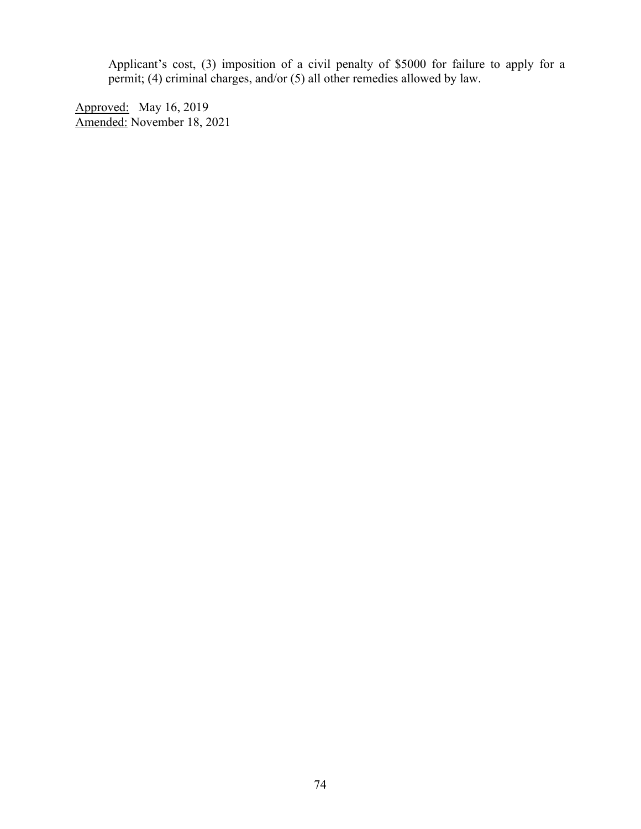Applicant's cost, (3) imposition of a civil penalty of \$5000 for failure to apply for a permit; (4) criminal charges, and/or (5) all other remedies allowed by law.

Approved: May 16, 2019 Amended: November 18, 2021